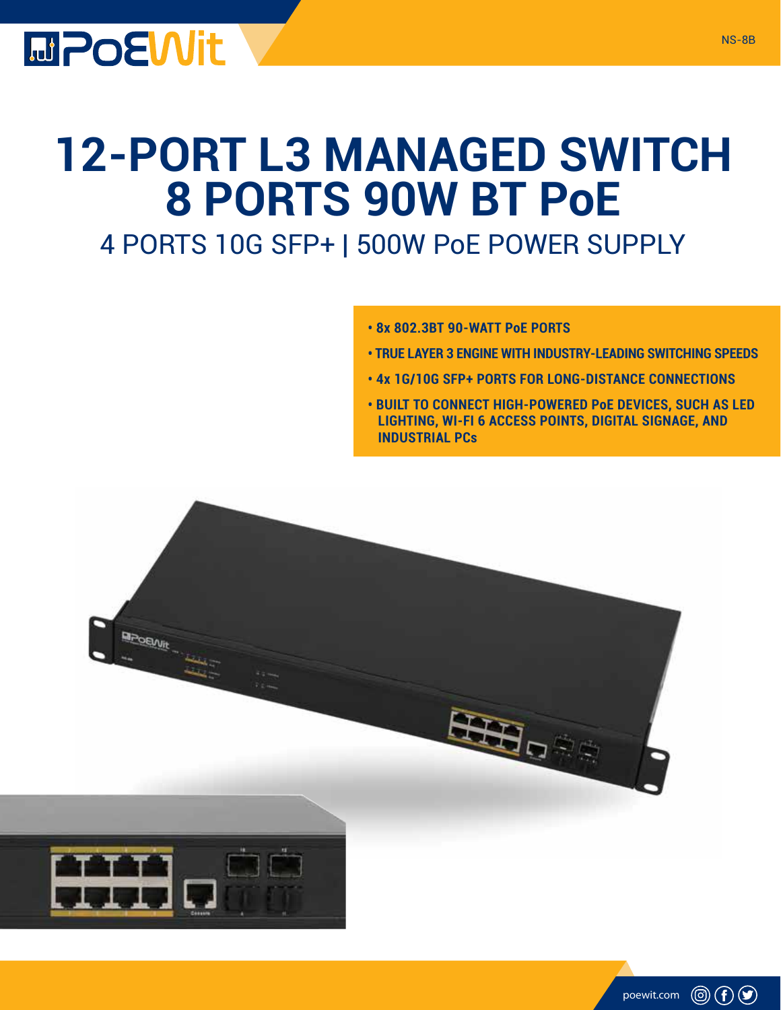

## **12-PORT L3 MANAGED SWITCH 8 PORTS 90W BT PoE**

## 4 PORTS 10G SFP+ | 500W PoE POWER SUPPLY

- **8x 802.3BT 90-WATT PoE PORTS**
- **TRUE LAYER 3 ENGINE WITH INDUSTRY-LEADING SWITCHING SPEEDS**
- **4x 1G/10G SFP+ PORTS FOR LONG-DISTANCE CONNECTIONS**
- **BUILT TO CONNECT HIGH-POWERED PoE DEVICES, SUCH AS LED LIGHTING, WI-FI 6 ACCESS POINTS, DIGITAL SIGNAGE, AND INDUSTRIAL PCs**



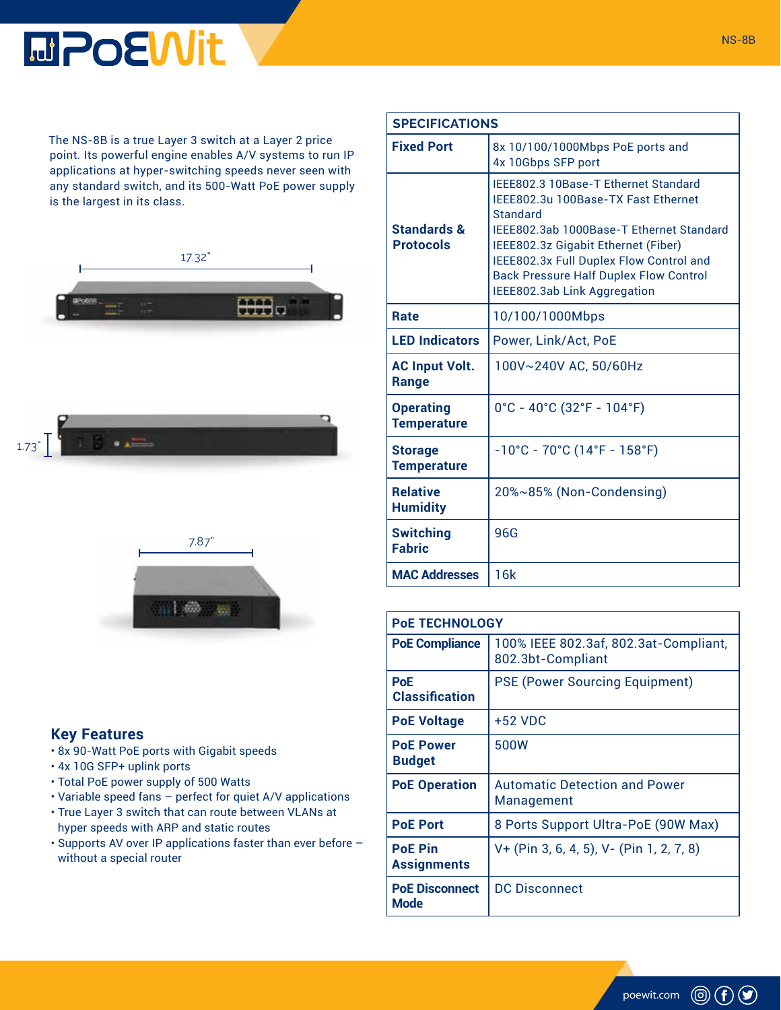## **MPOEWit**

The NS-8B is a true Layer 3 switch at a Layer 2 price point. Its powerful engine enables A/V systems to run IP applications at hyper-switching speeds never seen with any standard switch, and its 500-Watt PoE power supply is the largest in its class.





## **Key Features**

- 8x 90-Watt PoE ports with Gigabit speeds
- 4x 10G SFP+ uplink ports
- Total PoE power supply of 500 Watts
- Variable speed fans perfect for quiet A/V applications
- True Layer 3 switch that can route between VLANs at hyper speeds with ARP and static routes
- Supports AV over IP applications faster than ever before without a special router

| <b>SPECIFICATIONS</b>                  |                                                                                                                                                                                                                                                                                                               |
|----------------------------------------|---------------------------------------------------------------------------------------------------------------------------------------------------------------------------------------------------------------------------------------------------------------------------------------------------------------|
| <b>Fixed Port</b>                      | 8x 10/100/1000Mbps PoE ports and<br>4x 10Gbps SFP port                                                                                                                                                                                                                                                        |
| Standards &<br><b>Protocols</b>        | IEEE802.3 10Base-T Ethernet Standard<br>IEEE802.3u 100Base-TX Fast Ethernet<br><b>Standard</b><br>IEEE802.3ab 1000Base-T Ethernet Standard<br>IEEE802.3z Gigabit Ethernet (Fiber)<br>IEEE802.3x Full Duplex Flow Control and<br><b>Back Pressure Half Duplex Flow Control</b><br>IEEE802.3ab Link Aggregation |
| <b>Rate</b>                            | 10/100/1000Mbps                                                                                                                                                                                                                                                                                               |
| <b>LED Indicators</b>                  | Power, Link/Act, PoE                                                                                                                                                                                                                                                                                          |
| <b>AC Input Volt.</b><br><b>Range</b>  | 100V~240V AC, 50/60Hz                                                                                                                                                                                                                                                                                         |
| <b>Operating</b><br><b>Temperature</b> | $0^{\circ}$ C - 40°C (32°F - 104°F)                                                                                                                                                                                                                                                                           |
| <b>Storage</b><br><b>Temperature</b>   | $-10^{\circ}$ C - 70 $^{\circ}$ C (14 $^{\circ}$ F - 158 $^{\circ}$ F)                                                                                                                                                                                                                                        |
| <b>Relative</b><br><b>Humidity</b>     | 20%~85% (Non-Condensing)                                                                                                                                                                                                                                                                                      |
| <b>Switching</b><br><b>Fabric</b>      | 96G                                                                                                                                                                                                                                                                                                           |
| <b>MAC Addresses</b>                   | 16k                                                                                                                                                                                                                                                                                                           |

| <b>POE TECHNOLOGY</b>                |                                                            |  |
|--------------------------------------|------------------------------------------------------------|--|
| <b>PoE Compliance</b>                | 100% IEEE 802.3af, 802.3at-Compliant,<br>802.3bt-Compliant |  |
| <b>PoE</b><br><b>Classification</b>  | <b>PSE (Power Sourcing Equipment)</b>                      |  |
| <b>PoE Voltage</b>                   | +52 VDC                                                    |  |
| <b>PoE Power</b><br><b>Budget</b>    | 500W                                                       |  |
| <b>PoE Operation</b>                 | Automatic Detection and Power<br>Management                |  |
| <b>PoE Port</b>                      | 8 Ports Support Ultra-PoE (90W Max)                        |  |
| <b>PoF Pin</b><br><b>Assignments</b> | V+ (Pin 3, 6, 4, 5), V- (Pin 1, 2, 7, 8)                   |  |
| <b>PoE Disconnect</b><br>Mode        | <b>DC Disconnect</b>                                       |  |